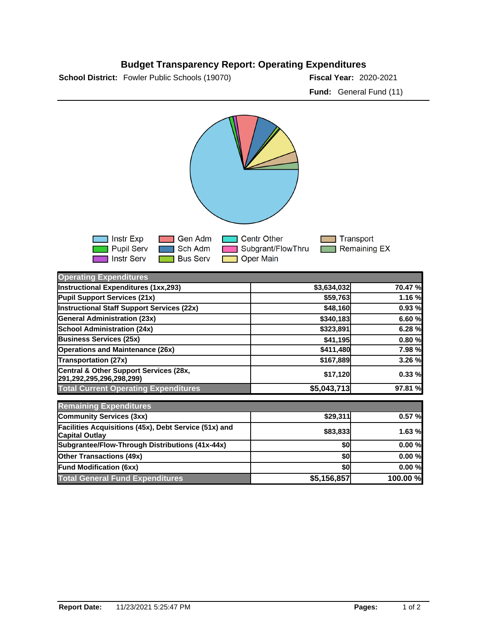## **Budget Transparency Report: Operating Expenditures**

**School District:** Fowler Public Schools (19070) **2020 Fiscal Year:** 2020-2021

**Fund:** General Fund (11)



| <b>Operating Expenditures</b>                                                  |             |          |
|--------------------------------------------------------------------------------|-------------|----------|
| Instructional Expenditures (1xx,293)                                           | \$3,634,032 | 70.47 %  |
| Pupil Support Services (21x)                                                   | \$59,763    | 1.16 %   |
| Instructional Staff Support Services (22x)                                     | \$48,160    | 0.93%    |
| <b>General Administration (23x)</b>                                            | \$340,183   | 6.60 %   |
| <b>School Administration (24x)</b>                                             | \$323,891   | 6.28%    |
| <b>Business Services (25x)</b>                                                 | \$41,195    | 0.80%    |
| <b>Operations and Maintenance (26x)</b>                                        | \$411,480   | 7.98 %   |
| <b>Transportation (27x)</b>                                                    | \$167,889   | 3.26 %   |
| Central & Other Support Services (28x,<br>291,292,295,296,298,299)             | \$17,120    | 0.33%    |
| <b>Total Current Operating Expenditures</b>                                    | \$5,043,713 | 97.81 %  |
| <b>Remaining Expenditures</b>                                                  |             |          |
| <b>Community Services (3xx)</b>                                                | \$29,311    | 0.57%    |
| Facilities Acquisitions (45x), Debt Service (51x) and<br><b>Capital Outlay</b> | \$83,833    | 1.63 %   |
| Subgrantee/Flow-Through Distributions (41x-44x)                                | \$0         | 0.00%    |
| <b>Other Transactions (49x)</b>                                                | \$0         | 0.00%    |
| <b>Fund Modification (6xx)</b>                                                 | \$0l        | 0.00%    |
| <b>Total General Fund Expenditures</b>                                         | \$5,156,857 | 100.00 % |